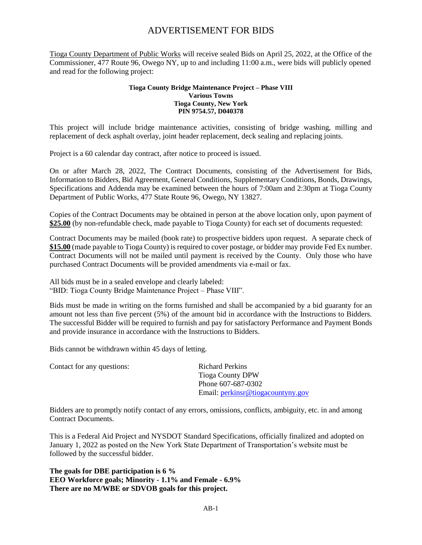Tioga County Department of Public Works will receive sealed Bids on April 25, 2022, at the Office of the Commissioner, 477 Route 96, Owego NY, up to and including 11:00 a.m., were bids will publicly opened and read for the following project:

#### **Tioga County Bridge Maintenance Project – Phase VIII Various Towns Tioga County, New York PIN 9754.57, D040378**

This project will include bridge maintenance activities, consisting of bridge washing, milling and replacement of deck asphalt overlay, joint header replacement, deck sealing and replacing joints.

Project is a 60 calendar day contract, after notice to proceed is issued.

On or after March 28, 2022, The Contract Documents, consisting of the Advertisement for Bids, Information to Bidders, Bid Agreement, General Conditions, Supplementary Conditions, Bonds, Drawings, Specifications and Addenda may be examined between the hours of 7:00am and 2:30pm at Tioga County Department of Public Works, 477 State Route 96, Owego, NY 13827.

Copies of the Contract Documents may be obtained in person at the above location only, upon payment of **\$25.00** (by non-refundable check, made payable to Tioga County) for each set of documents requested:

Contract Documents may be mailed (book rate) to prospective bidders upon request. A separate check of **\$15.00** (made payable to Tioga County) is required to cover postage, or bidder may provide Fed Ex number. Contract Documents will not be mailed until payment is received by the County. Only those who have purchased Contract Documents will be provided amendments via e-mail or fax.

All bids must be in a sealed envelope and clearly labeled: "BID: Tioga County Bridge Maintenance Project – Phase VIII".

Bids must be made in writing on the forms furnished and shall be accompanied by a bid guaranty for an amount not less than five percent (5%) of the amount bid in accordance with the Instructions to Bidders. The successful Bidder will be required to furnish and pay for satisfactory Performance and Payment Bonds and provide insurance in accordance with the Instructions to Bidders.

Bids cannot be withdrawn within 45 days of letting.

Contact for any questions: Richard Perkins

Tioga County DPW Phone 607-687-0302 Email: [perkinsr@tiogacountyny.gov](mailto:perkinsr@tiogacountyny.gov)

Bidders are to promptly notify contact of any errors, omissions, conflicts, ambiguity, etc. in and among Contract Documents.

This is a Federal Aid Project and NYSDOT Standard Specifications, officially finalized and adopted on January 1, 2022 as posted on the New York State Department of Transportation's website must be followed by the successful bidder.

**The goals for DBE participation is 6 % EEO Workforce goals; Minority - 1.1% and Female - 6.9% There are no M/WBE or SDVOB goals for this project.**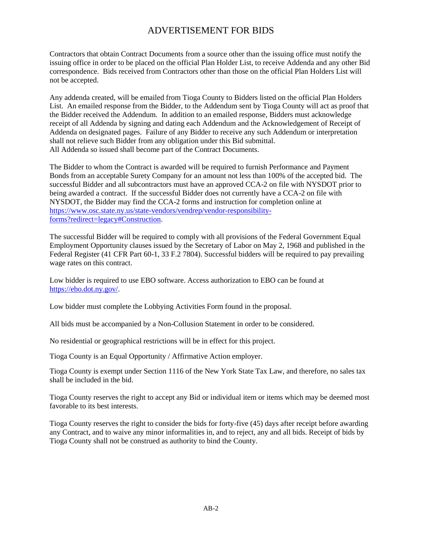Contractors that obtain Contract Documents from a source other than the issuing office must notify the issuing office in order to be placed on the official Plan Holder List, to receive Addenda and any other Bid correspondence. Bids received from Contractors other than those on the official Plan Holders List will not be accepted.

Any addenda created, will be emailed from Tioga County to Bidders listed on the official Plan Holders List. An emailed response from the Bidder, to the Addendum sent by Tioga County will act as proof that the Bidder received the Addendum. In addition to an emailed response, Bidders must acknowledge receipt of all Addenda by signing and dating each Addendum and the Acknowledgement of Receipt of Addenda on designated pages. Failure of any Bidder to receive any such Addendum or interpretation shall not relieve such Bidder from any obligation under this Bid submittal. All Addenda so issued shall become part of the Contract Documents.

The Bidder to whom the Contract is awarded will be required to furnish Performance and Payment Bonds from an acceptable Surety Company for an amount not less than 100% of the accepted bid. The successful Bidder and all subcontractors must have an approved CCA-2 on file with NYSDOT prior to being awarded a contract. If the successful Bidder does not currently have a CCA-2 on file with NYSDOT, the Bidder may find the CCA-2 forms and instruction for completion online at [https://www.osc.state.ny.us/state-vendors/vendrep/vendor-responsibility](https://www.osc.state.ny.us/state-vendors/vendrep/vendor-responsibility-forms?redirect=legacy#Construction)[forms?redirect=legacy#Construction.](https://www.osc.state.ny.us/state-vendors/vendrep/vendor-responsibility-forms?redirect=legacy#Construction)

The successful Bidder will be required to comply with all provisions of the Federal Government Equal Employment Opportunity clauses issued by the Secretary of Labor on May 2, 1968 and published in the Federal Register (41 CFR Part 60-1, 33 F.2 7804). Successful bidders will be required to pay prevailing wage rates on this contract.

Low bidder is required to use EBO software. Access authorization to EBO can be found at [https://ebo.dot.ny.gov/.](https://ebo.dot.ny.gov/)

Low bidder must complete the Lobbying Activities Form found in the proposal.

All bids must be accompanied by a Non-Collusion Statement in order to be considered.

No residential or geographical restrictions will be in effect for this project.

Tioga County is an Equal Opportunity / Affirmative Action employer.

Tioga County is exempt under Section 1116 of the New York State Tax Law, and therefore, no sales tax shall be included in the bid.

Tioga County reserves the right to accept any Bid or individual item or items which may be deemed most favorable to its best interests.

Tioga County reserves the right to consider the bids for forty-five (45) days after receipt before awarding any Contract, and to waive any minor informalities in, and to reject, any and all bids. Receipt of bids by Tioga County shall not be construed as authority to bind the County.